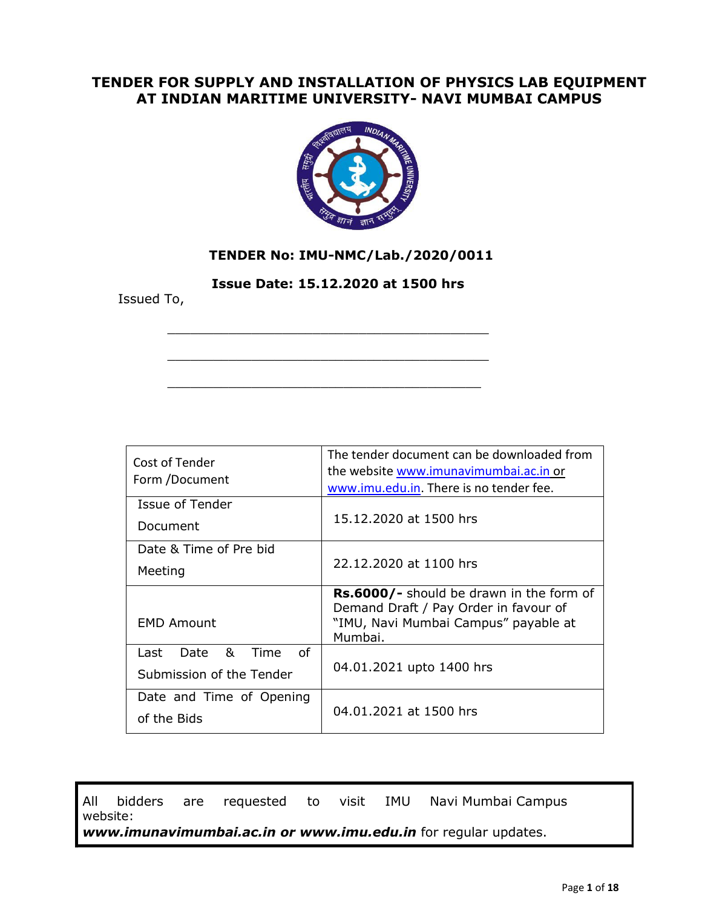## **TENDER FOR SUPPLY AND INSTALLATION OF PHYSICS LAB EQUIPMENT AT INDIAN MARITIME UNIVERSITY- NAVI MUMBAI CAMPUS**



## **TENDER No: IMU-NMC/Lab./2020/0011**

 **Issue Date: 15.12.2020 at 1500 hrs**

\_\_\_\_\_\_\_\_\_\_\_\_\_\_\_\_\_\_\_\_\_\_\_\_\_\_\_\_\_\_\_\_\_\_\_\_\_\_\_\_\_\_

\_\_\_\_\_\_\_\_\_\_\_\_\_\_\_\_\_\_\_\_\_\_\_\_\_\_\_\_\_\_\_\_\_\_\_\_\_\_\_\_\_\_

\_\_\_\_\_\_\_\_\_\_\_\_\_\_\_\_\_\_\_\_\_\_\_\_\_\_\_\_\_\_\_\_\_\_\_\_\_\_\_\_\_

Issued To,

| Cost of Tender<br>Form /Document                            | The tender document can be downloaded from<br>the website www.imunavimumbai.ac.in or<br>www.imu.edu.in. There is no tender fee.      |  |  |
|-------------------------------------------------------------|--------------------------------------------------------------------------------------------------------------------------------------|--|--|
| Issue of Tender                                             |                                                                                                                                      |  |  |
| Document                                                    | 15.12.2020 at 1500 hrs                                                                                                               |  |  |
| Date & Time of Pre bid                                      |                                                                                                                                      |  |  |
| Meeting                                                     | 22.12.2020 at 1100 hrs                                                                                                               |  |  |
| <b>EMD Amount</b>                                           | Rs.6000/- should be drawn in the form of<br>Demand Draft / Pay Order in favour of<br>"IMU, Navi Mumbai Campus" payable at<br>Mumbai. |  |  |
| &<br>Ωf<br>Time<br>Date<br>Last<br>Submission of the Tender | 04.01.2021 upto 1400 hrs                                                                                                             |  |  |
| Date and Time of Opening<br>of the Bids                     | 04.01.2021 at 1500 hrs                                                                                                               |  |  |

All bidders are requested to visit IMU Navi Mumbai Campus website: *[www.imunavimumbai.ac.in](http://www.imunavimumbai.ac.in/) or www.imu.edu.in* for regular updates.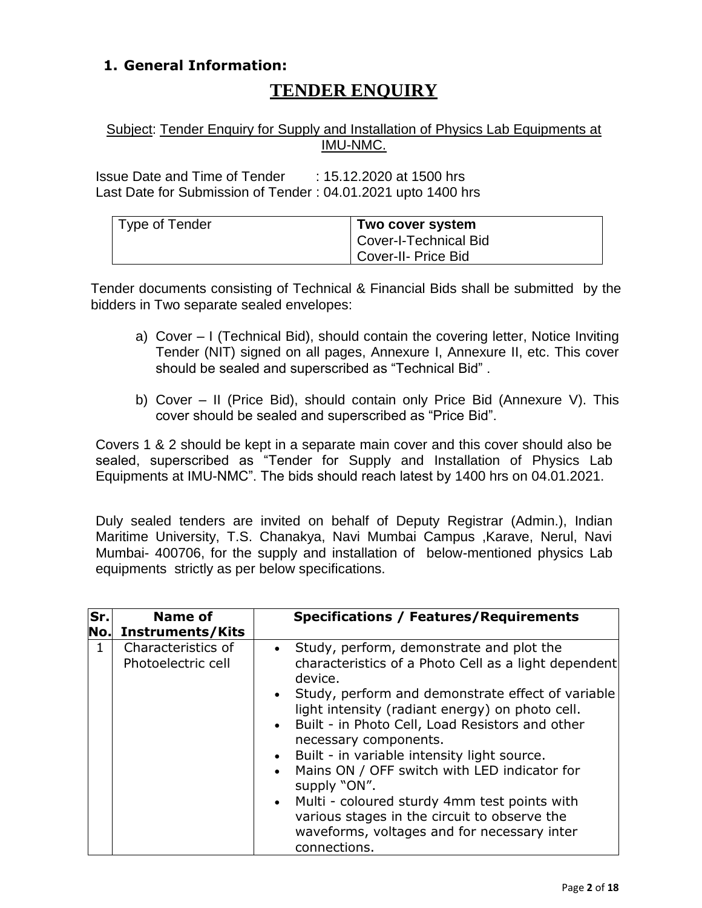# **1. General Information:**

# **TENDER ENQUIRY**

## Subject: Tender Enquiry for Supply and Installation of Physics Lab Equipments at IMU-NMC.

Issue Date and Time of Tender : 15.12.2020 at 1500 hrs Last Date for Submission of Tender : 04.01.2021 upto 1400 hrs

| Type of Tender | Two cover system                   |
|----------------|------------------------------------|
|                | <sup>1</sup> Cover-I-Technical Bid |
|                | Cover-II- Price Bid                |

Tender documents consisting of Technical & Financial Bids shall be submitted by the bidders in Two separate sealed envelopes:

- a) Cover I (Technical Bid), should contain the covering letter, Notice Inviting Tender (NIT) signed on all pages, Annexure I, Annexure II, etc. This cover should be sealed and superscribed as "Technical Bid" .
- b) Cover II (Price Bid), should contain only Price Bid (Annexure V). This cover should be sealed and superscribed as "Price Bid".

Covers 1 & 2 should be kept in a separate main cover and this cover should also be sealed, superscribed as "Tender for Supply and Installation of Physics Lab Equipments at IMU-NMC". The bids should reach latest by 1400 hrs on 04.01.2021.

Duly sealed tenders are invited on behalf of Deputy Registrar (Admin.), Indian Maritime University, T.S. Chanakya, Navi Mumbai Campus ,Karave, Nerul, Navi Mumbai- 400706, for the supply and installation of below-mentioned physics Lab equipments strictly as per below specifications.

| Sr.<br>No. | Name of<br><b>Instruments/Kits</b>       | <b>Specifications / Features/Requirements</b>                                                                                                                                                                                                                                                                                                                                                                                                                                                                                                                                                                              |
|------------|------------------------------------------|----------------------------------------------------------------------------------------------------------------------------------------------------------------------------------------------------------------------------------------------------------------------------------------------------------------------------------------------------------------------------------------------------------------------------------------------------------------------------------------------------------------------------------------------------------------------------------------------------------------------------|
| 1          | Characteristics of<br>Photoelectric cell | • Study, perform, demonstrate and plot the<br>characteristics of a Photo Cell as a light dependent<br>device.<br>• Study, perform and demonstrate effect of variable<br>light intensity (radiant energy) on photo cell.<br>Built - in Photo Cell, Load Resistors and other<br>$\bullet$<br>necessary components.<br>Built - in variable intensity light source.<br>$\bullet$<br>Mains ON / OFF switch with LED indicator for<br>$\bullet$<br>supply "ON".<br>• Multi - coloured sturdy 4mm test points with<br>various stages in the circuit to observe the<br>waveforms, voltages and for necessary inter<br>connections. |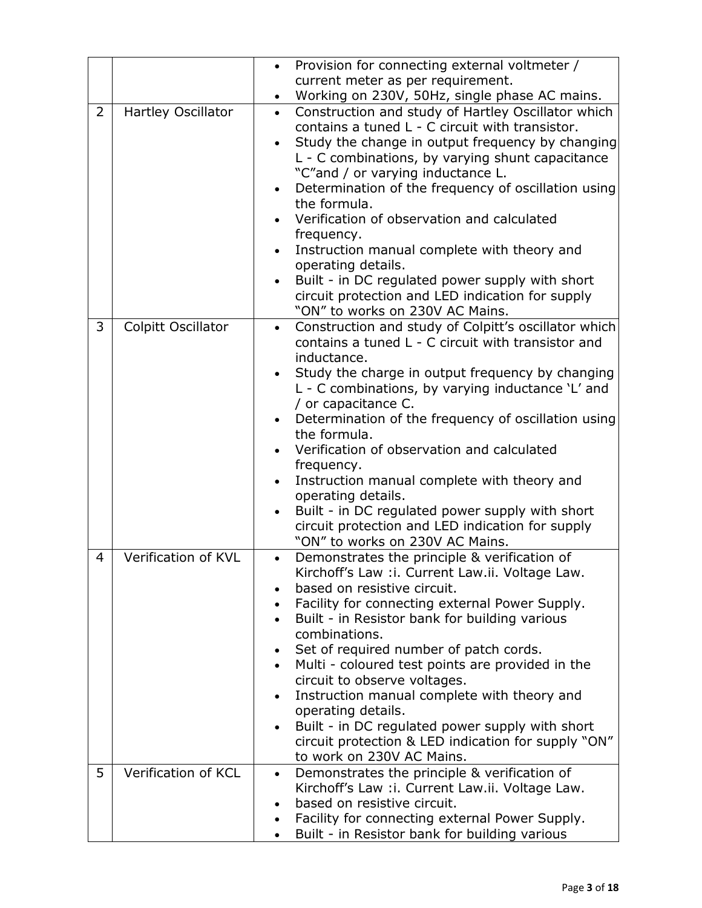|                |                     | Provision for connecting external voltmeter /<br>$\bullet$<br>current meter as per requirement.                                                                                                                                                                                                                                                                                                                                                                                                                                                                                                                                                                             |  |  |
|----------------|---------------------|-----------------------------------------------------------------------------------------------------------------------------------------------------------------------------------------------------------------------------------------------------------------------------------------------------------------------------------------------------------------------------------------------------------------------------------------------------------------------------------------------------------------------------------------------------------------------------------------------------------------------------------------------------------------------------|--|--|
|                |                     | Working on 230V, 50Hz, single phase AC mains.<br>$\bullet$                                                                                                                                                                                                                                                                                                                                                                                                                                                                                                                                                                                                                  |  |  |
| $\overline{2}$ | Hartley Oscillator  | Construction and study of Hartley Oscillator which<br>$\bullet$<br>contains a tuned L - C circuit with transistor.<br>Study the change in output frequency by changing<br>L - C combinations, by varying shunt capacitance<br>"C"and / or varying inductance L.<br>Determination of the frequency of oscillation using<br>$\bullet$<br>the formula.<br>Verification of observation and calculated<br>frequency.<br>Instruction manual complete with theory and<br>$\bullet$<br>operating details.<br>Built - in DC regulated power supply with short<br>circuit protection and LED indication for supply<br>"ON" to works on 230V AC Mains.                                 |  |  |
| 3              | Colpitt Oscillator  | Construction and study of Colpitt's oscillator which<br>$\bullet$<br>contains a tuned L - C circuit with transistor and<br>inductance.<br>Study the charge in output frequency by changing<br>$\bullet$<br>L - C combinations, by varying inductance 'L' and<br>/ or capacitance C.<br>Determination of the frequency of oscillation using<br>the formula.<br>Verification of observation and calculated<br>frequency.<br>Instruction manual complete with theory and<br>$\bullet$<br>operating details.<br>Built - in DC regulated power supply with short<br>$\bullet$<br>circuit protection and LED indication for supply<br>"ON" to works on 230V AC Mains.             |  |  |
| 4              | Verification of KVL | Demonstrates the principle & verification of<br>$\bullet$<br>Kirchoff's Law : i. Current Law.ii. Voltage Law.<br>based on resistive circuit.<br>Facility for connecting external Power Supply.<br>Built - in Resistor bank for building various<br>$\bullet$<br>combinations.<br>Set of required number of patch cords.<br>$\bullet$<br>Multi - coloured test points are provided in the<br>$\bullet$<br>circuit to observe voltages.<br>Instruction manual complete with theory and<br>$\bullet$<br>operating details.<br>Built - in DC regulated power supply with short<br>$\bullet$<br>circuit protection & LED indication for supply "ON"<br>to work on 230V AC Mains. |  |  |
| 5              | Verification of KCL | Demonstrates the principle & verification of<br>$\bullet$<br>Kirchoff's Law : i. Current Law.ii. Voltage Law.<br>based on resistive circuit.<br>Facility for connecting external Power Supply.<br>$\bullet$<br>Built - in Resistor bank for building various                                                                                                                                                                                                                                                                                                                                                                                                                |  |  |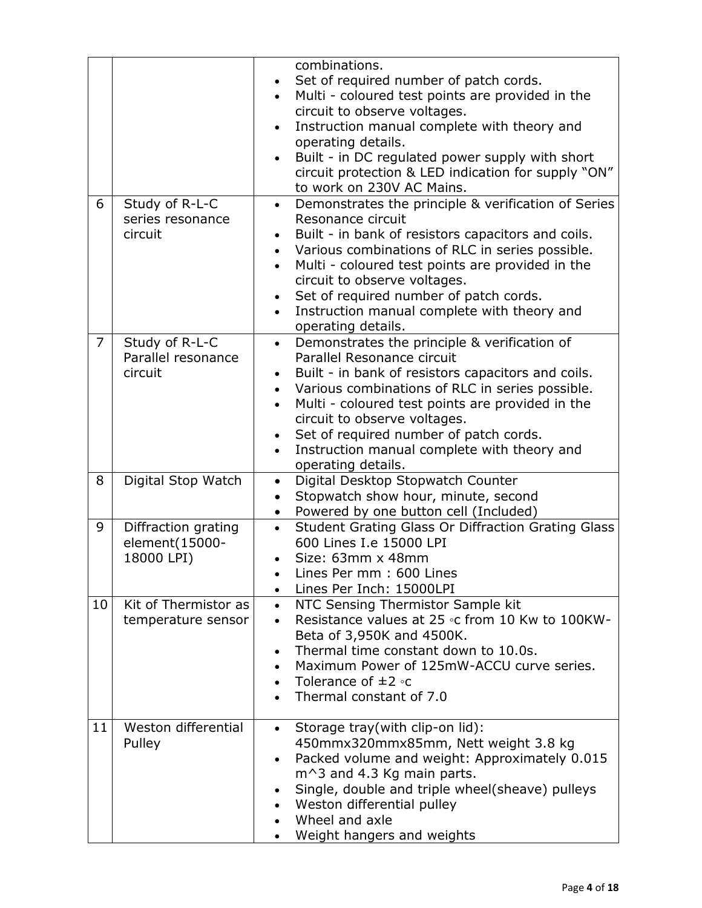|                |                                                     | combinations.<br>Set of required number of patch cords.<br>Multi - coloured test points are provided in the<br>circuit to observe voltages.<br>Instruction manual complete with theory and<br>$\bullet$<br>operating details.<br>Built - in DC regulated power supply with short<br>$\bullet$<br>circuit protection & LED indication for supply "ON"<br>to work on 230V AC Mains.                                                          |
|----------------|-----------------------------------------------------|--------------------------------------------------------------------------------------------------------------------------------------------------------------------------------------------------------------------------------------------------------------------------------------------------------------------------------------------------------------------------------------------------------------------------------------------|
| 6              | Study of R-L-C<br>series resonance<br>circuit       | Demonstrates the principle & verification of Series<br>$\bullet$<br>Resonance circuit<br>Built - in bank of resistors capacitors and coils.<br>Various combinations of RLC in series possible.<br>$\bullet$<br>Multi - coloured test points are provided in the<br>$\bullet$<br>circuit to observe voltages.<br>Set of required number of patch cords.<br>Instruction manual complete with theory and<br>operating details.                |
| $\overline{7}$ | Study of R-L-C<br>Parallel resonance<br>circuit     | Demonstrates the principle & verification of<br>$\bullet$<br>Parallel Resonance circuit<br>Built - in bank of resistors capacitors and coils.<br>$\bullet$<br>Various combinations of RLC in series possible.<br>$\bullet$<br>Multi - coloured test points are provided in the<br>$\bullet$<br>circuit to observe voltages.<br>Set of required number of patch cords.<br>Instruction manual complete with theory and<br>operating details. |
| 8              | Digital Stop Watch                                  | Digital Desktop Stopwatch Counter<br>$\bullet$<br>Stopwatch show hour, minute, second<br>$\bullet$<br>Powered by one button cell (Included)<br>$\bullet$                                                                                                                                                                                                                                                                                   |
| 9              | Diffraction grating<br>element(15000-<br>18000 LPI) | Student Grating Glass Or Diffraction Grating Glass<br>$\bullet$<br>600 Lines I.e 15000 LPI<br>Size: 63mm x 48mm<br>Lines Per mm: 600 Lines<br>Lines Per Inch: 15000LPI<br>$\bullet$                                                                                                                                                                                                                                                        |
| 10             | Kit of Thermistor as<br>temperature sensor          | NTC Sensing Thermistor Sample kit<br>$\bullet$<br>Resistance values at 25 °C from 10 Kw to 100KW-<br>$\bullet$<br>Beta of 3,950K and 4500K.<br>Thermal time constant down to 10.0s.<br>$\bullet$<br>Maximum Power of 125mW-ACCU curve series.<br>Tolerance of $\pm 2$ °C<br>$\bullet$<br>Thermal constant of 7.0                                                                                                                           |
| 11             | Weston differential<br>Pulley                       | Storage tray(with clip-on lid):<br>$\bullet$<br>450mmx320mmx85mm, Nett weight 3.8 kg<br>Packed volume and weight: Approximately 0.015<br>٠<br>$m^3$ and 4.3 Kg main parts.<br>Single, double and triple wheel(sheave) pulleys<br>$\bullet$<br>Weston differential pulley<br>Wheel and axle<br>$\bullet$<br>Weight hangers and weights                                                                                                      |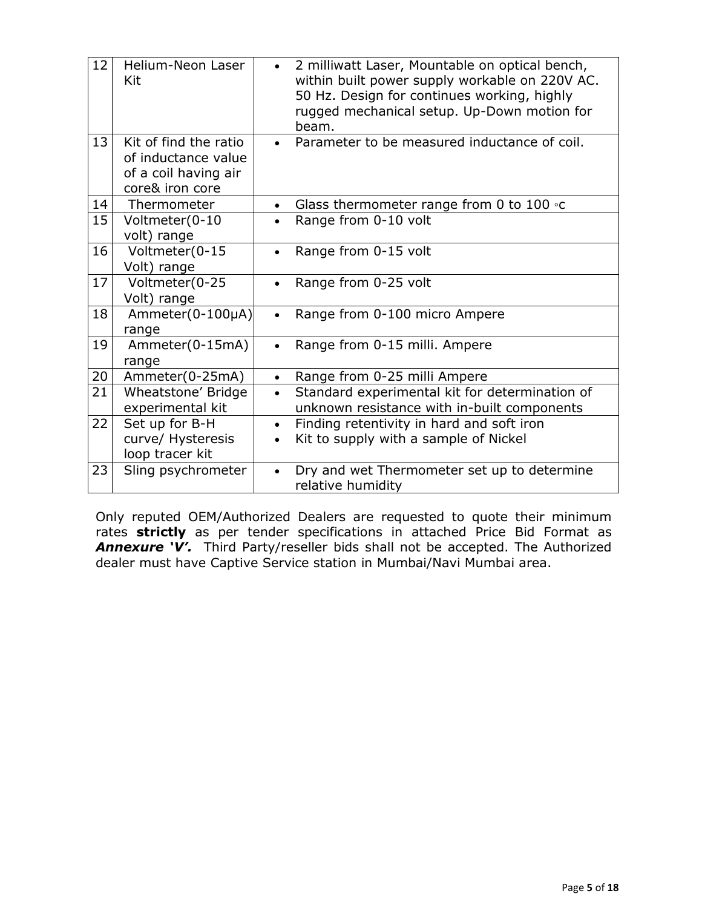| 12 | Helium-Neon Laser<br>Kit                                                                | 2 milliwatt Laser, Mountable on optical bench,<br>$\bullet$<br>within built power supply workable on 220V AC.<br>50 Hz. Design for continues working, highly<br>rugged mechanical setup. Up-Down motion for<br>beam. |  |  |
|----|-----------------------------------------------------------------------------------------|----------------------------------------------------------------------------------------------------------------------------------------------------------------------------------------------------------------------|--|--|
| 13 | Kit of find the ratio<br>of inductance value<br>of a coil having air<br>core& iron core | Parameter to be measured inductance of coil.<br>$\bullet$                                                                                                                                                            |  |  |
| 14 | Thermometer                                                                             | Glass thermometer range from 0 to 100 $\circ$ c<br>$\bullet$                                                                                                                                                         |  |  |
| 15 | Voltmeter(0-10<br>volt) range                                                           | Range from 0-10 volt<br>$\bullet$                                                                                                                                                                                    |  |  |
| 16 | Voltmeter(0-15<br>Volt) range                                                           | Range from 0-15 volt                                                                                                                                                                                                 |  |  |
| 17 | Voltmeter(0-25<br>Volt) range                                                           | Range from 0-25 volt<br>$\bullet$                                                                                                                                                                                    |  |  |
| 18 | Ammeter(0-100µA)<br>range                                                               | Range from 0-100 micro Ampere<br>$\bullet$                                                                                                                                                                           |  |  |
| 19 | Ammeter(0-15mA)<br>range                                                                | Range from 0-15 milli. Ampere<br>$\bullet$                                                                                                                                                                           |  |  |
| 20 | Ammeter(0-25mA)                                                                         | Range from 0-25 milli Ampere<br>$\bullet$                                                                                                                                                                            |  |  |
| 21 | Wheatstone' Bridge<br>experimental kit                                                  | Standard experimental kit for determination of<br>$\bullet$<br>unknown resistance with in-built components                                                                                                           |  |  |
| 22 | Set up for B-H<br>curve/ Hysteresis<br>loop tracer kit                                  | Finding retentivity in hard and soft iron<br>$\bullet$<br>Kit to supply with a sample of Nickel<br>$\bullet$                                                                                                         |  |  |
| 23 | Sling psychrometer                                                                      | Dry and wet Thermometer set up to determine<br>$\bullet$<br>relative humidity                                                                                                                                        |  |  |

Only reputed OEM/Authorized Dealers are requested to quote their minimum rates **strictly** as per tender specifications in attached Price Bid Format as *Annexure 'V'.* Third Party/reseller bids shall not be accepted. The Authorized dealer must have Captive Service station in Mumbai/Navi Mumbai area.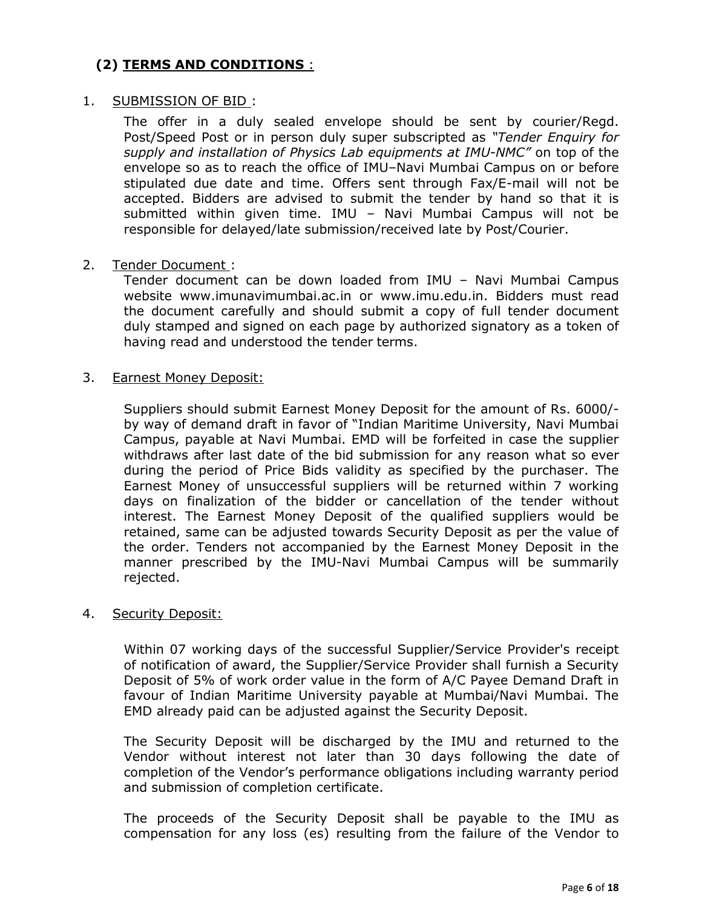## **(2) TERMS AND CONDITIONS** :

### 1. SUBMISSION OF BID :

The offer in a duly sealed envelope should be sent by courier/Regd. Post/Speed Post or in person duly super subscripted as *"Tender Enquiry for supply and installation of Physics Lab equipments at IMU-NMC"* on top of the envelope so as to reach the office of IMU–Navi Mumbai Campus on or before stipulated due date and time. Offers sent through Fax/E-mail will not be accepted. Bidders are advised to submit the tender by hand so that it is submitted within given time. IMU – Navi Mumbai Campus will not be responsible for delayed/late submission/received late by Post/Courier.

#### 2. Tender Document :

Tender document can be down loaded from IMU – Navi Mumbai Campus website [www.imunavimumbai.ac.in](http://www.imunavimumbai.ac.in/) or www.imu.edu.in. Bidders must read the document carefully and should submit a copy of full tender document duly stamped and signed on each page by authorized signatory as a token of having read and understood the tender terms.

#### 3. Earnest Money Deposit:

Suppliers should submit Earnest Money Deposit for the amount of Rs. 6000/ by way of demand draft in favor of "Indian Maritime University, Navi Mumbai Campus, payable at Navi Mumbai. EMD will be forfeited in case the supplier withdraws after last date of the bid submission for any reason what so ever during the period of Price Bids validity as specified by the purchaser. The Earnest Money of unsuccessful suppliers will be returned within 7 working days on finalization of the bidder or cancellation of the tender without interest. The Earnest Money Deposit of the qualified suppliers would be retained, same can be adjusted towards Security Deposit as per the value of the order. Tenders not accompanied by the Earnest Money Deposit in the manner prescribed by the IMU-Navi Mumbai Campus will be summarily rejected.

#### 4. Security Deposit:

Within 07 working days of the successful Supplier/Service Provider's receipt of notification of award, the Supplier/Service Provider shall furnish a Security Deposit of 5% of work order value in the form of A/C Payee Demand Draft in favour of Indian Maritime University payable at Mumbai/Navi Mumbai. The EMD already paid can be adjusted against the Security Deposit.

The Security Deposit will be discharged by the IMU and returned to the Vendor without interest not later than 30 days following the date of completion of the Vendor"s performance obligations including warranty period and submission of completion certificate.

The proceeds of the Security Deposit shall be payable to the IMU as compensation for any loss (es) resulting from the failure of the Vendor to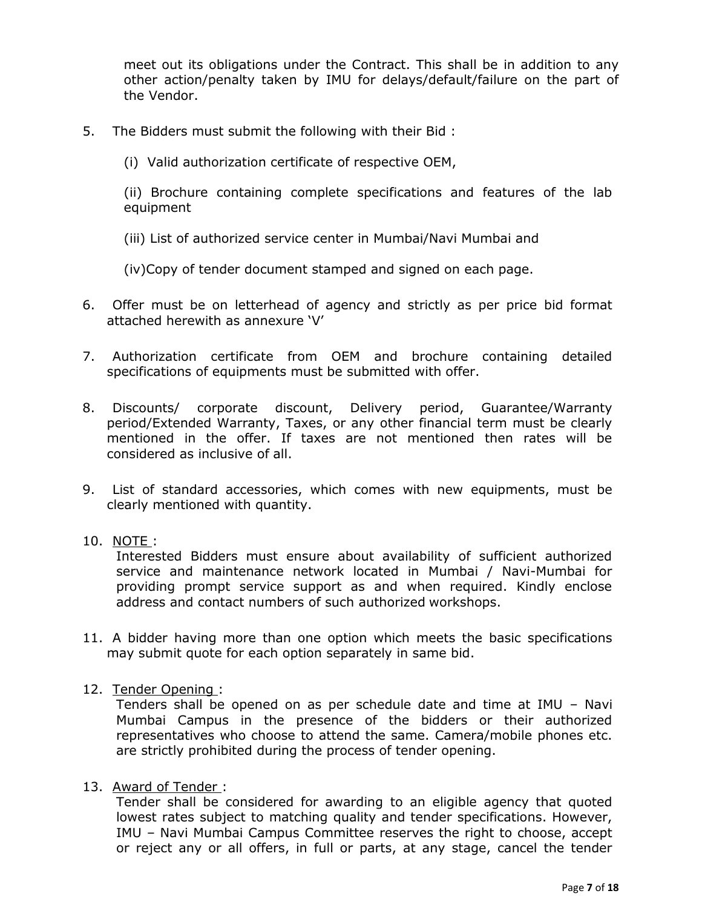meet out its obligations under the Contract. This shall be in addition to any other action/penalty taken by IMU for delays/default/failure on the part of the Vendor.

- 5. The Bidders must submit the following with their Bid :
	- (i) Valid authorization certificate of respective OEM,

(ii) Brochure containing complete specifications and features of the lab equipment

(iii) List of authorized service center in Mumbai/Navi Mumbai and

(iv)Copy of tender document stamped and signed on each page.

- 6. Offer must be on letterhead of agency and strictly as per price bid format attached herewith as annexure "V"
- 7. Authorization certificate from OEM and brochure containing detailed specifications of equipments must be submitted with offer.
- 8. Discounts/ corporate discount, Delivery period, Guarantee/Warranty period/Extended Warranty, Taxes, or any other financial term must be clearly mentioned in the offer. If taxes are not mentioned then rates will be considered as inclusive of all.
- 9. List of standard accessories, which comes with new equipments, must be clearly mentioned with quantity.

### 10. NOTE :

Interested Bidders must ensure about availability of sufficient authorized service and maintenance network located in Mumbai / Navi-Mumbai for providing prompt service support as and when required. Kindly enclose address and contact numbers of such authorized workshops.

- 11. A bidder having more than one option which meets the basic specifications may submit quote for each option separately in same bid.
- 12. Tender Opening :

Tenders shall be opened on as per schedule date and time at IMU – Navi Mumbai Campus in the presence of the bidders or their authorized representatives who choose to attend the same. Camera/mobile phones etc. are strictly prohibited during the process of tender opening.

13. Award of Tender :

Tender shall be considered for awarding to an eligible agency that quoted lowest rates subject to matching quality and tender specifications. However, IMU – Navi Mumbai Campus Committee reserves the right to choose, accept or reject any or all offers, in full or parts, at any stage, cancel the tender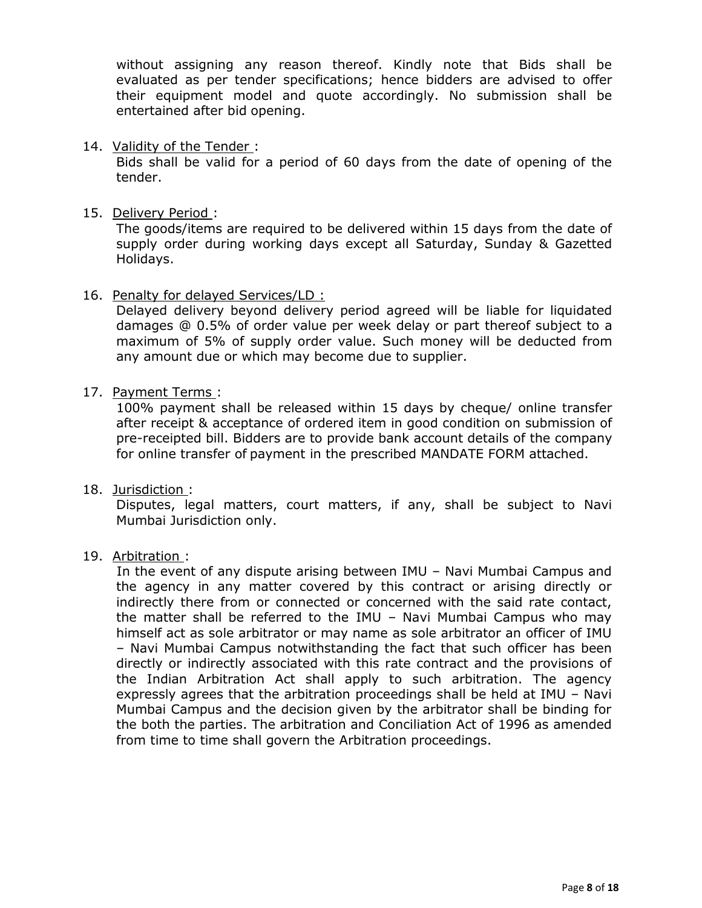without assigning any reason thereof. Kindly note that Bids shall be evaluated as per tender specifications; hence bidders are advised to offer their equipment model and quote accordingly. No submission shall be entertained after bid opening.

14. Validity of the Tender :

Bids shall be valid for a period of 60 days from the date of opening of the tender.

15. Delivery Period :

The goods/items are required to be delivered within 15 days from the date of supply order during working days except all Saturday, Sunday & Gazetted Holidays.

16. Penalty for delayed Services/LD :

Delayed delivery beyond delivery period agreed will be liable for liquidated damages @ 0.5% of order value per week delay or part thereof subject to a maximum of 5% of supply order value. Such money will be deducted from any amount due or which may become due to supplier.

17. Payment Terms :

100% payment shall be released within 15 days by cheque/ online transfer after receipt & acceptance of ordered item in good condition on submission of pre-receipted bill. Bidders are to provide bank account details of the company for online transfer of payment in the prescribed MANDATE FORM attached.

18. Jurisdiction :

Disputes, legal matters, court matters, if any, shall be subject to Navi Mumbai Jurisdiction only.

19. Arbitration :

In the event of any dispute arising between IMU – Navi Mumbai Campus and the agency in any matter covered by this contract or arising directly or indirectly there from or connected or concerned with the said rate contact, the matter shall be referred to the IMU – Navi Mumbai Campus who may himself act as sole arbitrator or may name as sole arbitrator an officer of IMU – Navi Mumbai Campus notwithstanding the fact that such officer has been directly or indirectly associated with this rate contract and the provisions of the Indian Arbitration Act shall apply to such arbitration. The agency expressly agrees that the arbitration proceedings shall be held at IMU – Navi Mumbai Campus and the decision given by the arbitrator shall be binding for the both the parties. The arbitration and Conciliation Act of 1996 as amended from time to time shall govern the Arbitration proceedings.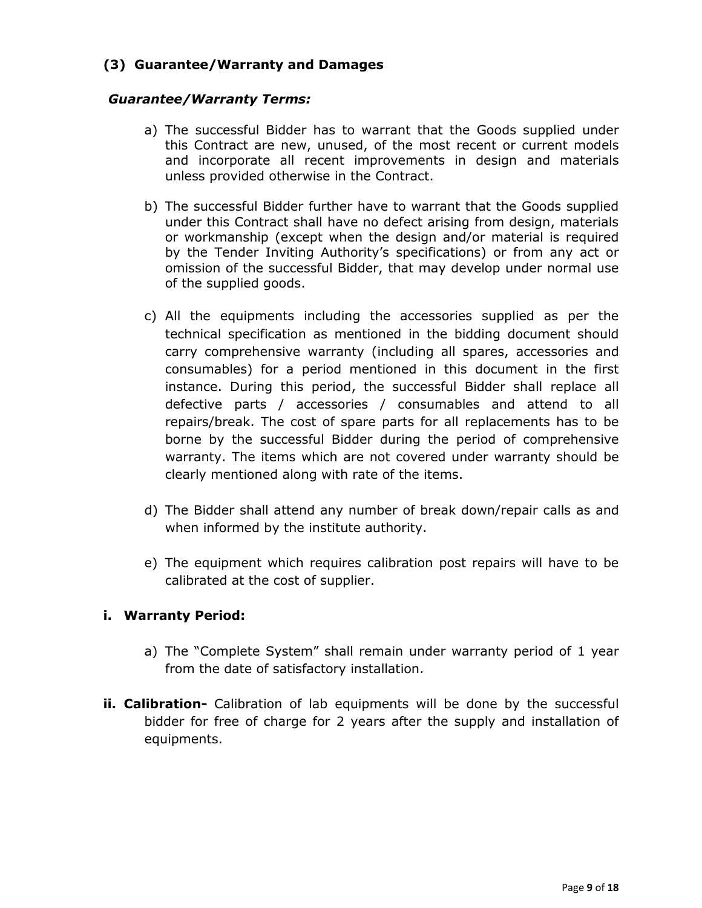## **(3) Guarantee/Warranty and Damages**

### *Guarantee/Warranty Terms:*

- a) The successful Bidder has to warrant that the Goods supplied under this Contract are new, unused, of the most recent or current models and incorporate all recent improvements in design and materials unless provided otherwise in the Contract.
- b) The successful Bidder further have to warrant that the Goods supplied under this Contract shall have no defect arising from design, materials or workmanship (except when the design and/or material is required by the Tender Inviting Authority's specifications) or from any act or omission of the successful Bidder, that may develop under normal use of the supplied goods.
- c) All the equipments including the accessories supplied as per the technical specification as mentioned in the bidding document should carry comprehensive warranty (including all spares, accessories and consumables) for a period mentioned in this document in the first instance. During this period, the successful Bidder shall replace all defective parts / accessories / consumables and attend to all repairs/break. The cost of spare parts for all replacements has to be borne by the successful Bidder during the period of comprehensive warranty. The items which are not covered under warranty should be clearly mentioned along with rate of the items.
- d) The Bidder shall attend any number of break down/repair calls as and when informed by the institute authority.
- e) The equipment which requires calibration post repairs will have to be calibrated at the cost of supplier.

## **i. Warranty Period:**

- a) The "Complete System" shall remain under warranty period of 1 year from the date of satisfactory installation.
- **ii. Calibration-** Calibration of lab equipments will be done by the successful bidder for free of charge for 2 years after the supply and installation of equipments.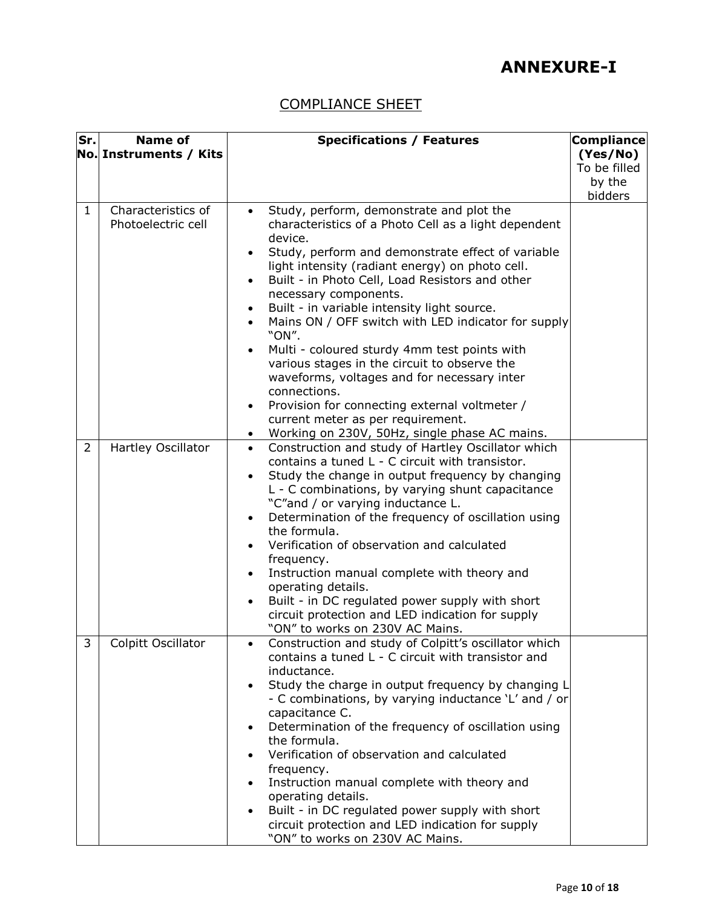# **ANNEXURE-I**

# COMPLIANCE SHEET

| Sr.            | <b>Name of</b>                           | <b>Specifications / Features</b>                                      | <b>Compliance</b> |
|----------------|------------------------------------------|-----------------------------------------------------------------------|-------------------|
|                | No. Instruments / Kits                   |                                                                       | (Yes/No)          |
|                |                                          |                                                                       | To be filled      |
|                |                                          |                                                                       | by the            |
|                |                                          |                                                                       | bidders           |
| $\mathbf{1}$   | Characteristics of<br>Photoelectric cell | Study, perform, demonstrate and plot the<br>$\bullet$                 |                   |
|                |                                          | characteristics of a Photo Cell as a light dependent<br>device.       |                   |
|                |                                          | Study, perform and demonstrate effect of variable                     |                   |
|                |                                          | light intensity (radiant energy) on photo cell.                       |                   |
|                |                                          | Built - in Photo Cell, Load Resistors and other<br>$\bullet$          |                   |
|                |                                          | necessary components.                                                 |                   |
|                |                                          | Built - in variable intensity light source.                           |                   |
|                |                                          | Mains ON / OFF switch with LED indicator for supply                   |                   |
|                |                                          | "ON".                                                                 |                   |
|                |                                          | Multi - coloured sturdy 4mm test points with                          |                   |
|                |                                          | various stages in the circuit to observe the                          |                   |
|                |                                          | waveforms, voltages and for necessary inter<br>connections.           |                   |
|                |                                          | Provision for connecting external voltmeter /                         |                   |
|                |                                          | current meter as per requirement.                                     |                   |
|                |                                          | Working on 230V, 50Hz, single phase AC mains.<br>$\bullet$            |                   |
| $\overline{2}$ | Hartley Oscillator                       | Construction and study of Hartley Oscillator which<br>$\bullet$       |                   |
|                |                                          | contains a tuned L - C circuit with transistor.                       |                   |
|                |                                          | Study the change in output frequency by changing                      |                   |
|                |                                          | L - C combinations, by varying shunt capacitance                      |                   |
|                |                                          | "C"and / or varying inductance L.                                     |                   |
|                |                                          | Determination of the frequency of oscillation using                   |                   |
|                |                                          | the formula.                                                          |                   |
|                |                                          | Verification of observation and calculated<br>frequency.              |                   |
|                |                                          | Instruction manual complete with theory and                           |                   |
|                |                                          | operating details.                                                    |                   |
|                |                                          | Built - in DC regulated power supply with short                       |                   |
|                |                                          | circuit protection and LED indication for supply                      |                   |
|                |                                          | "ON" to works on 230V AC Mains.                                       |                   |
| 3              | Colpitt Oscillator                       | Construction and study of Colpitt's oscillator which                  |                   |
|                |                                          | contains a tuned L - C circuit with transistor and                    |                   |
|                |                                          | inductance.                                                           |                   |
|                |                                          | Study the charge in output frequency by changing L                    |                   |
|                |                                          | - C combinations, by varying inductance 'L' and / or                  |                   |
|                |                                          | capacitance C.<br>Determination of the frequency of oscillation using |                   |
|                |                                          | the formula.                                                          |                   |
|                |                                          | Verification of observation and calculated                            |                   |
|                |                                          | frequency.                                                            |                   |
|                |                                          | Instruction manual complete with theory and                           |                   |
|                |                                          | operating details.                                                    |                   |
|                |                                          | Built - in DC regulated power supply with short<br>$\bullet$          |                   |
|                |                                          | circuit protection and LED indication for supply                      |                   |
|                |                                          | "ON" to works on 230V AC Mains.                                       |                   |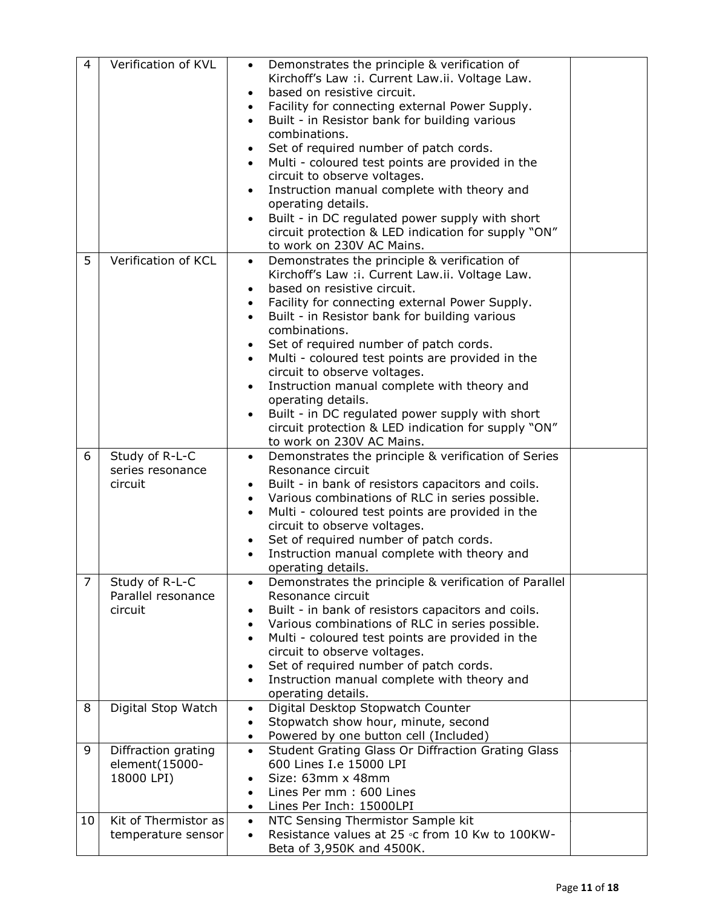| 4              | Verification of KVL                                 | Demonstrates the principle & verification of<br>$\bullet$<br>Kirchoff's Law : i. Current Law.ii. Voltage Law.<br>based on resistive circuit.<br>$\bullet$<br>Facility for connecting external Power Supply.<br>$\bullet$<br>Built - in Resistor bank for building various<br>$\bullet$<br>combinations.<br>Set of required number of patch cords.<br>$\bullet$<br>Multi - coloured test points are provided in the<br>$\bullet$<br>circuit to observe voltages.<br>Instruction manual complete with theory and<br>operating details.<br>Built - in DC regulated power supply with short<br>circuit protection & LED indication for supply "ON"<br>to work on 230V AC Mains. |  |
|----------------|-----------------------------------------------------|-----------------------------------------------------------------------------------------------------------------------------------------------------------------------------------------------------------------------------------------------------------------------------------------------------------------------------------------------------------------------------------------------------------------------------------------------------------------------------------------------------------------------------------------------------------------------------------------------------------------------------------------------------------------------------|--|
| 5              | Verification of KCL                                 | Demonstrates the principle & verification of<br>$\bullet$<br>Kirchoff's Law : i. Current Law.ii. Voltage Law.<br>based on resistive circuit.<br>Facility for connecting external Power Supply.<br>$\bullet$<br>Built - in Resistor bank for building various<br>combinations.<br>Set of required number of patch cords.<br>Multi - coloured test points are provided in the<br>$\bullet$<br>circuit to observe voltages.<br>Instruction manual complete with theory and<br>$\bullet$<br>operating details.<br>Built - in DC regulated power supply with short<br>$\bullet$<br>circuit protection & LED indication for supply "ON"<br>to work on 230V AC Mains.              |  |
| 6              | Study of R-L-C<br>series resonance<br>circuit       | Demonstrates the principle & verification of Series<br>$\bullet$<br>Resonance circuit<br>Built - in bank of resistors capacitors and coils.<br>$\bullet$<br>Various combinations of RLC in series possible.<br>$\bullet$<br>Multi - coloured test points are provided in the<br>$\bullet$<br>circuit to observe voltages.<br>Set of required number of patch cords.<br>$\bullet$<br>Instruction manual complete with theory and<br>operating details.                                                                                                                                                                                                                       |  |
| $\overline{7}$ | Study of R-L-C<br>Parallel resonance<br>circuit     | Demonstrates the principle & verification of Parallel<br>$\bullet$<br>Resonance circuit<br>Built - in bank of resistors capacitors and coils.<br>Various combinations of RLC in series possible.<br>$\bullet$<br>Multi - coloured test points are provided in the<br>$\bullet$<br>circuit to observe voltages.<br>Set of required number of patch cords.<br>$\bullet$<br>Instruction manual complete with theory and<br>$\bullet$<br>operating details.                                                                                                                                                                                                                     |  |
| 8              | Digital Stop Watch                                  | Digital Desktop Stopwatch Counter<br>$\bullet$<br>Stopwatch show hour, minute, second<br>$\bullet$<br>Powered by one button cell (Included)<br>$\bullet$                                                                                                                                                                                                                                                                                                                                                                                                                                                                                                                    |  |
| 9              | Diffraction grating<br>element(15000-<br>18000 LPI) | Student Grating Glass Or Diffraction Grating Glass<br>$\bullet$<br>600 Lines I.e 15000 LPI<br>Size: 63mm x 48mm<br>٠<br>Lines Per mm: 600 Lines<br>$\bullet$<br>Lines Per Inch: 15000LPI<br>$\bullet$                                                                                                                                                                                                                                                                                                                                                                                                                                                                       |  |
| 10             | Kit of Thermistor as<br>temperature sensor          | NTC Sensing Thermistor Sample kit<br>$\bullet$<br>Resistance values at 25 °C from 10 Kw to 100KW-<br>$\bullet$<br>Beta of 3,950K and 4500K.                                                                                                                                                                                                                                                                                                                                                                                                                                                                                                                                 |  |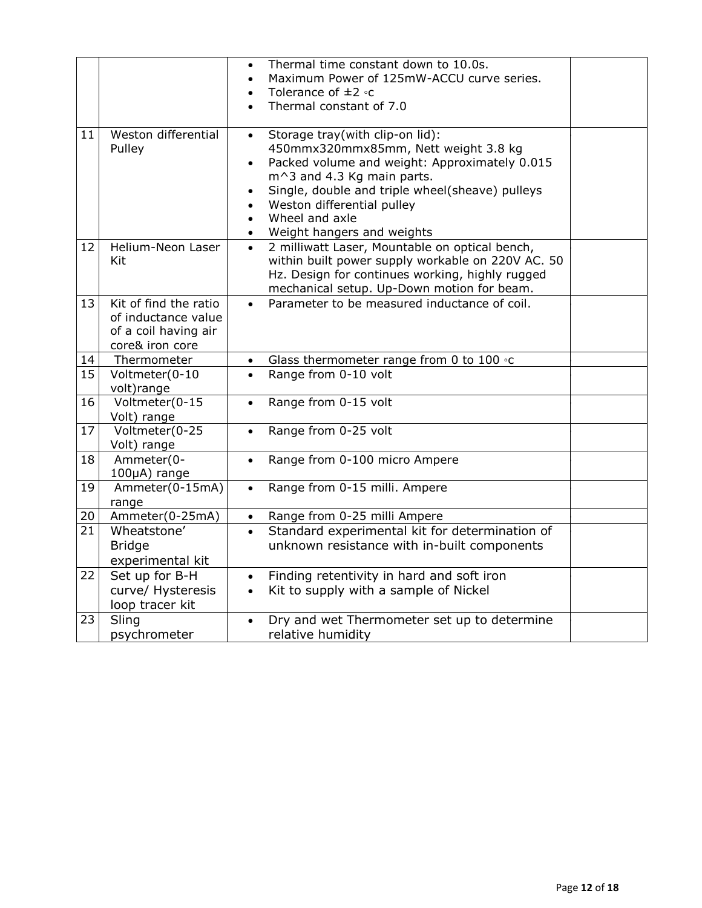|    |                                                                                         | $\bullet$<br>$\bullet$<br>$\bullet$                           | Thermal time constant down to 10.0s.<br>Maximum Power of 125mW-ACCU curve series.<br>Tolerance of $\pm 2$ °C<br>Thermal constant of 7.0                                                                                            |  |
|----|-----------------------------------------------------------------------------------------|---------------------------------------------------------------|------------------------------------------------------------------------------------------------------------------------------------------------------------------------------------------------------------------------------------|--|
| 11 | Weston differential<br>Pulley                                                           | $\bullet$<br>$\bullet$<br>$\bullet$<br>$\bullet$<br>$\bullet$ |                                                                                                                                                                                                                                    |  |
| 12 | Helium-Neon Laser<br>Kit                                                                | $\bullet$                                                     | Weight hangers and weights<br>2 milliwatt Laser, Mountable on optical bench,<br>within built power supply workable on 220V AC. 50<br>Hz. Design for continues working, highly rugged<br>mechanical setup. Up-Down motion for beam. |  |
| 13 | Kit of find the ratio<br>of inductance value<br>of a coil having air<br>core& iron core | $\bullet$                                                     | Parameter to be measured inductance of coil.                                                                                                                                                                                       |  |
| 14 | Thermometer                                                                             |                                                               | Glass thermometer range from 0 to 100 $\circ$ c                                                                                                                                                                                    |  |
| 15 | Voltmeter(0-10<br>volt) range                                                           | $\bullet$                                                     | Range from 0-10 volt                                                                                                                                                                                                               |  |
| 16 | Voltmeter(0-15<br>Volt) range                                                           | $\bullet$                                                     | Range from 0-15 volt                                                                                                                                                                                                               |  |
| 17 | Voltmeter(0-25<br>Volt) range                                                           | $\bullet$                                                     | Range from 0-25 volt                                                                                                                                                                                                               |  |
| 18 | Ammeter(0-<br>100µA) range                                                              | $\bullet$                                                     | Range from 0-100 micro Ampere                                                                                                                                                                                                      |  |
| 19 | Ammeter(0-15mA)<br>range                                                                | $\bullet$                                                     | Range from 0-15 milli. Ampere                                                                                                                                                                                                      |  |
| 20 | Ammeter(0-25mA)                                                                         | $\bullet$                                                     | Range from 0-25 milli Ampere                                                                                                                                                                                                       |  |
| 21 | Wheatstone'<br><b>Bridge</b><br>experimental kit                                        | $\bullet$                                                     | Standard experimental kit for determination of<br>unknown resistance with in-built components                                                                                                                                      |  |
| 22 | Set up for B-H<br>curve/ Hysteresis<br>loop tracer kit                                  | $\bullet$<br>$\bullet$                                        | Finding retentivity in hard and soft iron<br>Kit to supply with a sample of Nickel                                                                                                                                                 |  |
| 23 | Sling<br>psychrometer                                                                   | $\bullet$                                                     | Dry and wet Thermometer set up to determine<br>relative humidity                                                                                                                                                                   |  |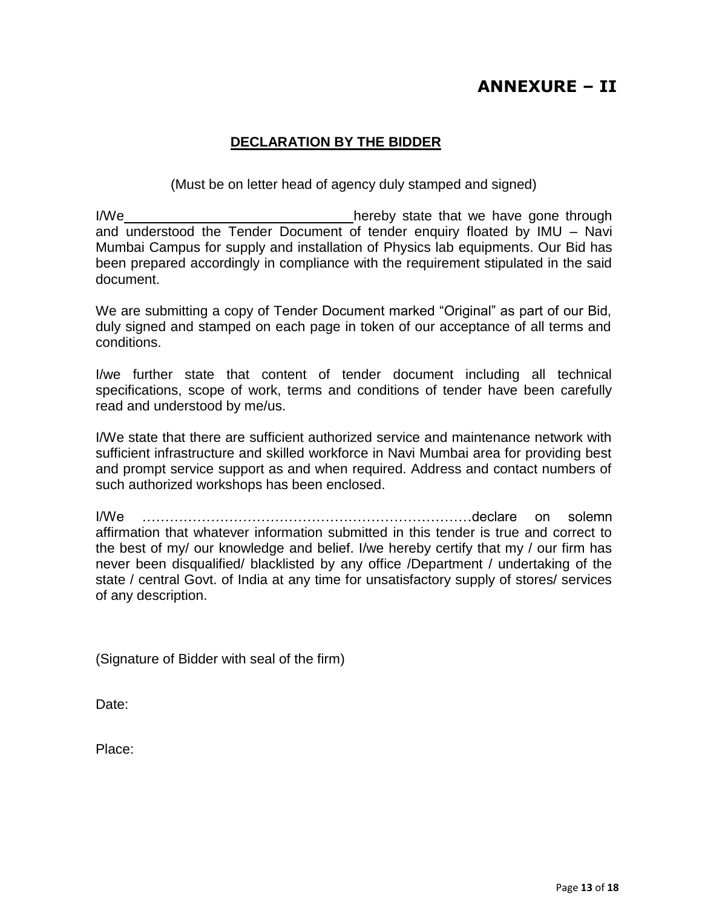# **ANNEXURE – II**

## **DECLARATION BY THE BIDDER**

(Must be on letter head of agency duly stamped and signed)

I/We **hereby** state that we have gone through and understood the Tender Document of tender enquiry floated by IMU – Navi Mumbai Campus for supply and installation of Physics lab equipments. Our Bid has been prepared accordingly in compliance with the requirement stipulated in the said document.

We are submitting a copy of Tender Document marked "Original" as part of our Bid, duly signed and stamped on each page in token of our acceptance of all terms and conditions.

I/we further state that content of tender document including all technical specifications, scope of work, terms and conditions of tender have been carefully read and understood by me/us.

I/We state that there are sufficient authorized service and maintenance network with sufficient infrastructure and skilled workforce in Navi Mumbai area for providing best and prompt service support as and when required. Address and contact numbers of such authorized workshops has been enclosed.

I/We ………………………………………………………………declare on solemn affirmation that whatever information submitted in this tender is true and correct to the best of my/ our knowledge and belief. I/we hereby certify that my / our firm has never been disqualified/ blacklisted by any office /Department / undertaking of the state / central Govt. of India at any time for unsatisfactory supply of stores/ services of any description.

(Signature of Bidder with seal of the firm)

Date:

Place: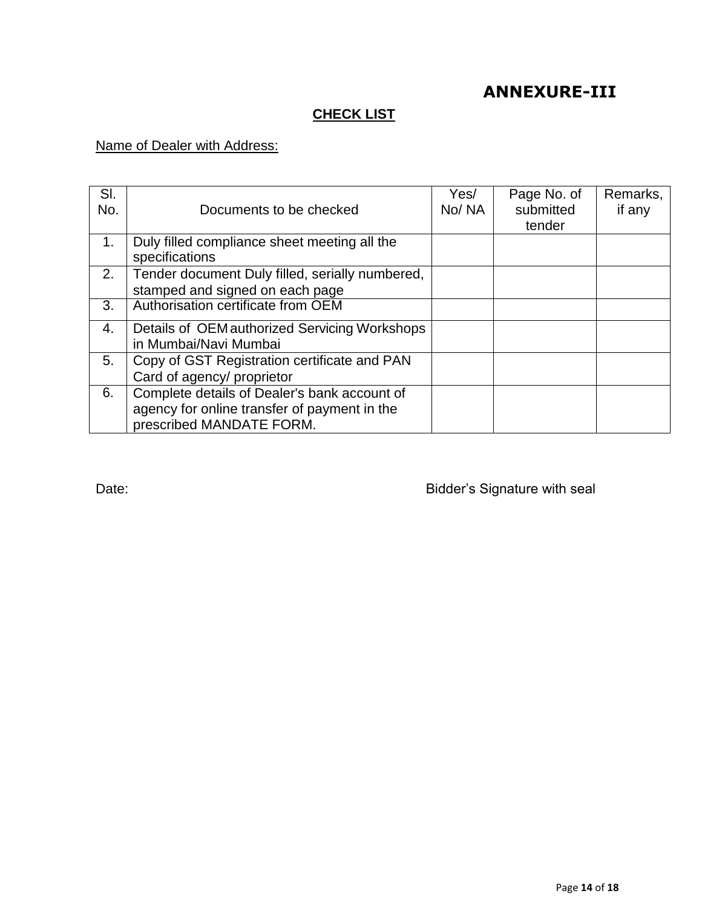# **ANNEXURE-III**

## **CHECK LIST**

## Name of Dealer with Address:

| SI.<br>No. | Documents to be checked                                                                                                  | Yes/<br>No/NA | Page No. of<br>submitted<br>tender | Remarks,<br>if any |
|------------|--------------------------------------------------------------------------------------------------------------------------|---------------|------------------------------------|--------------------|
| 1.         | Duly filled compliance sheet meeting all the<br>specifications                                                           |               |                                    |                    |
| 2.         | Tender document Duly filled, serially numbered,<br>stamped and signed on each page                                       |               |                                    |                    |
| 3.         | Authorisation certificate from OEM                                                                                       |               |                                    |                    |
| 4.         | Details of OEM authorized Servicing Workshops<br>in Mumbai/Navi Mumbai                                                   |               |                                    |                    |
| 5.         | Copy of GST Registration certificate and PAN<br>Card of agency/ proprietor                                               |               |                                    |                    |
| 6.         | Complete details of Dealer's bank account of<br>agency for online transfer of payment in the<br>prescribed MANDATE FORM. |               |                                    |                    |

Date: **Date: Bidder's Signature with seal**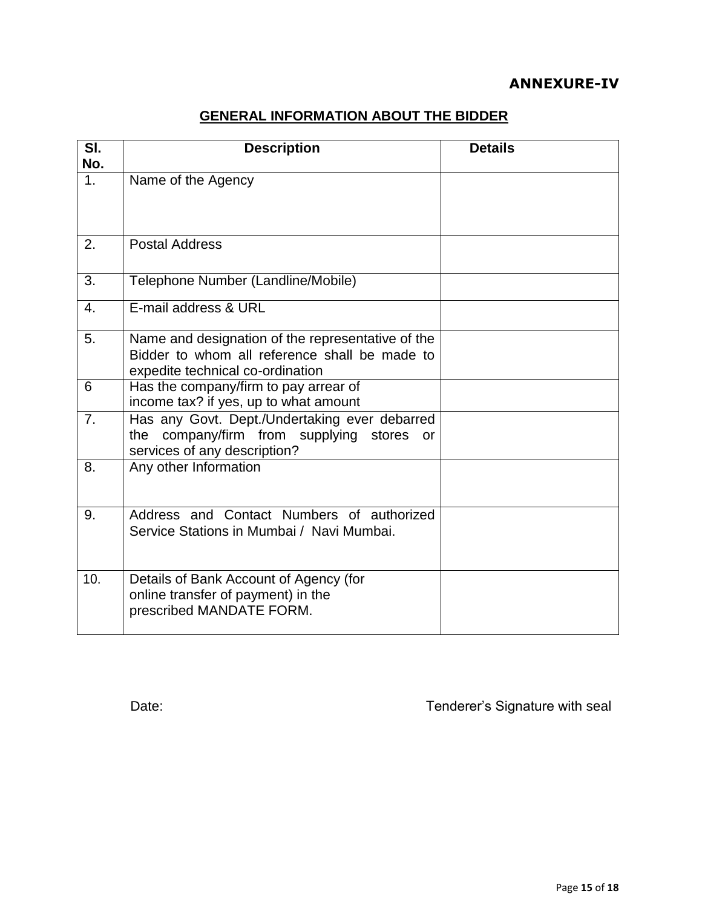# **ANNEXURE-IV**

# **GENERAL INFORMATION ABOUT THE BIDDER**

| SI.<br>No.       | <b>Description</b>                                                                                                                     | <b>Details</b> |
|------------------|----------------------------------------------------------------------------------------------------------------------------------------|----------------|
| 1 <sub>1</sub>   | Name of the Agency                                                                                                                     |                |
| 2.               | <b>Postal Address</b>                                                                                                                  |                |
| 3.               | Telephone Number (Landline/Mobile)                                                                                                     |                |
| $\overline{4}$ . | E-mail address & URL                                                                                                                   |                |
| 5.               | Name and designation of the representative of the<br>Bidder to whom all reference shall be made to<br>expedite technical co-ordination |                |
| 6                | Has the company/firm to pay arrear of<br>income tax? if yes, up to what amount                                                         |                |
| 7 <sub>1</sub>   | Has any Govt. Dept./Undertaking ever debarred<br>the company/firm from supplying stores<br>or<br>services of any description?          |                |
| 8.               | Any other Information                                                                                                                  |                |
| 9.               | Address and Contact Numbers of authorized<br>Service Stations in Mumbai / Navi Mumbai.                                                 |                |
| 10.              | Details of Bank Account of Agency (for<br>online transfer of payment) in the<br>prescribed MANDATE FORM.                               |                |

Date: Date: Tenderer's Signature with seal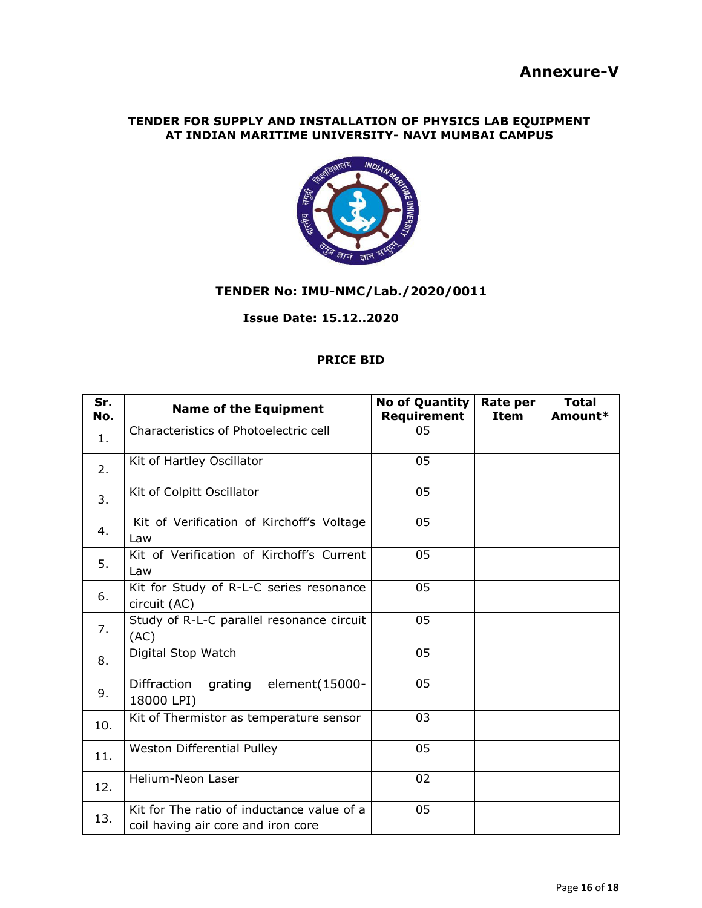#### **TENDER FOR SUPPLY AND INSTALLATION OF PHYSICS LAB EQUIPMENT AT INDIAN MARITIME UNIVERSITY- NAVI MUMBAI CAMPUS**



### **TENDER No: IMU-NMC/Lab./2020/0011**

#### **Issue Date: 15.12..2020**

#### **PRICE BID**

| Sr.<br>No. | <b>Name of the Equipment</b>                                                     | <b>No of Quantity</b><br>Requirement | Rate per<br><b>Item</b> | <b>Total</b><br>Amount* |
|------------|----------------------------------------------------------------------------------|--------------------------------------|-------------------------|-------------------------|
| 1.         | Characteristics of Photoelectric cell                                            | 05                                   |                         |                         |
| 2.         | Kit of Hartley Oscillator                                                        | 05                                   |                         |                         |
| 3.         | Kit of Colpitt Oscillator                                                        | 05                                   |                         |                         |
| 4.         | Kit of Verification of Kirchoff's Voltage<br>Law                                 | 05                                   |                         |                         |
| 5.         | Kit of Verification of Kirchoff's Current<br>Law                                 | 05                                   |                         |                         |
| 6.         | Kit for Study of R-L-C series resonance<br>circuit (AC)                          | 05                                   |                         |                         |
| 7.         | Study of R-L-C parallel resonance circuit<br>(AC)                                | 05                                   |                         |                         |
| 8.         | Digital Stop Watch                                                               | 05                                   |                         |                         |
| 9.         | element(15000-<br><b>Diffraction</b><br>grating<br>18000 LPI)                    | 05                                   |                         |                         |
| 10.        | Kit of Thermistor as temperature sensor                                          | 03                                   |                         |                         |
| 11.        | Weston Differential Pulley                                                       | 05                                   |                         |                         |
| 12.        | Helium-Neon Laser                                                                | 02                                   |                         |                         |
| 13.        | Kit for The ratio of inductance value of a<br>coil having air core and iron core | 05                                   |                         |                         |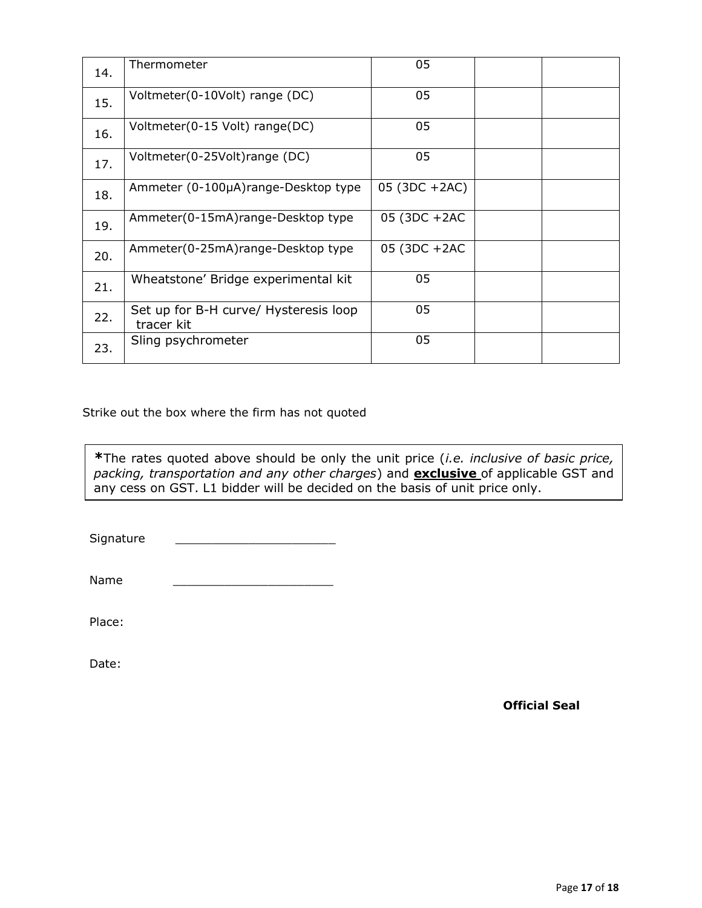| 14. | Thermometer                                         | 05            |  |
|-----|-----------------------------------------------------|---------------|--|
| 15. | Voltmeter(0-10Volt) range (DC)                      | 05            |  |
| 16. | Voltmeter(0-15 Volt) range(DC)                      | 05            |  |
| 17. | Voltmeter(0-25Volt)range (DC)                       | 05            |  |
| 18. | Ammeter (0-100µA)range-Desktop type                 | 05 (3DC +2AC) |  |
| 19. | Ammeter(0-15mA)range-Desktop type                   | 05 (3DC +2AC  |  |
| 20. | Ammeter(0-25mA)range-Desktop type                   | 05 (3DC +2AC  |  |
| 21. | Wheatstone' Bridge experimental kit                 | 05            |  |
| 22. | Set up for B-H curve/ Hysteresis loop<br>tracer kit | 05            |  |
| 23. | Sling psychrometer                                  | 05            |  |

Strike out the box where the firm has not quoted

**\***The rates quoted above should be only the unit price (*i.e. inclusive of basic price, packing, transportation and any other charges*) and **exclusive** of applicable GST and any cess on GST. L1 bidder will be decided on the basis of unit price only.

Signature

Name \_\_\_\_\_\_\_\_\_\_\_\_\_\_\_\_\_\_\_\_\_\_

Place:

Date: when the contract of the contract of the contract of the contract of the contract of the contract of the contract of the contract of the contract of the contract of the contract of the contract of the contract of the

**Official Seal**